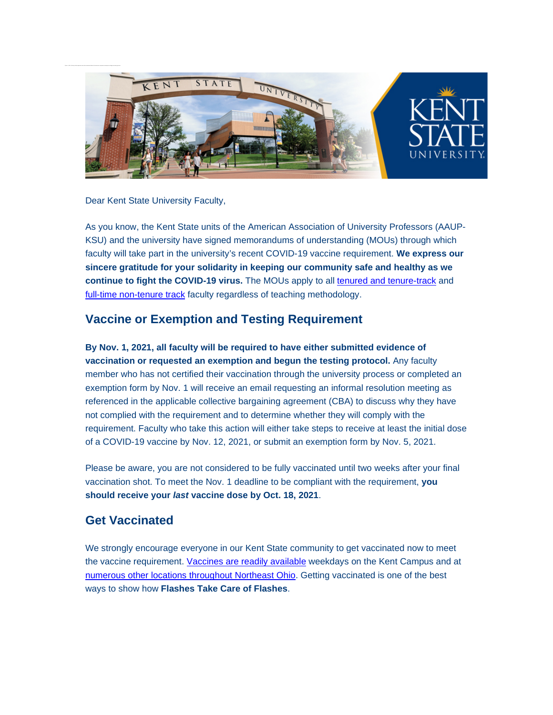

Dear Kent State University Faculty,

As you know, the Kent State units of the American Association of University Professors (AAUP-KSU) and the university have signed memorandums of understanding (MOUs) through which faculty will take part in the university's recent COVID-19 vaccine requirement. **We express our sincere gratitude for your solidarity in keeping our community safe and healthy as we continue to fight the COVID-19 virus.** The MOUs apply to all [tenured and tenure-track](https://nam11.safelinks.protection.outlook.com/?url=http%3A%2F%2Fclick.mailer.kent.edu%2F%3Fqs%3D19465cf41df31b3b00db417e9a867a54615895d7493c61455ab290febcdaf49cf8a8ac0f19343a8b976db8ab0af8556415240019b585b803&data=04%7C01%7Cdcsmith1%40kent.edu%7C0edc2d19bb4a43b68a4a08d98a618269%7Ce5a06f4a1ec44d018f73e7dd15f26134%7C1%7C0%7C637692973668993998%7CUnknown%7CTWFpbGZsb3d8eyJWIjoiMC4wLjAwMDAiLCJQIjoiV2luMzIiLCJBTiI6Ik1haWwiLCJXVCI6Mn0%3D%7C1000&sdata=zCNlVSa9MuDLmfyoh2hyY6XORSg5qHdp2RCkiKtWCGM%3D&reserved=0) and [full-time non-tenure track](https://nam11.safelinks.protection.outlook.com/?url=http%3A%2F%2Fclick.mailer.kent.edu%2F%3Fqs%3D19465cf41df31b3bea479993d37d29e944d4892cf3ba7adb11a1ec4c49360ec7fa0271ecc9f8cae3945f89ba5073dd0702263872676c5c4d&data=04%7C01%7Cdcsmith1%40kent.edu%7C0edc2d19bb4a43b68a4a08d98a618269%7Ce5a06f4a1ec44d018f73e7dd15f26134%7C1%7C0%7C637692973669003961%7CUnknown%7CTWFpbGZsb3d8eyJWIjoiMC4wLjAwMDAiLCJQIjoiV2luMzIiLCJBTiI6Ik1haWwiLCJXVCI6Mn0%3D%7C1000&sdata=05sOyRoyciBiMDMxc64rcPdmp3J72y83jBo02LTq4Bo%3D&reserved=0) faculty regardless of teaching methodology.

# **Vaccine or Exemption and Testing Requirement**

**By Nov. 1, 2021, all faculty will be required to have either submitted evidence of vaccination or requested an exemption and begun the testing protocol.** Any faculty member who has not certified their vaccination through the university process or completed an exemption form by Nov. 1 will receive an email requesting an informal resolution meeting as referenced in the applicable collective bargaining agreement (CBA) to discuss why they have not complied with the requirement and to determine whether they will comply with the requirement. Faculty who take this action will either take steps to receive at least the initial dose of a COVID-19 vaccine by Nov. 12, 2021, or submit an exemption form by Nov. 5, 2021.

Please be aware, you are not considered to be fully vaccinated until two weeks after your final vaccination shot. To meet the Nov. 1 deadline to be compliant with the requirement, **you should receive your** *last* **vaccine dose by Oct. 18, 2021**.

# **Get Vaccinated**

We strongly encourage everyone in our Kent State community to get vaccinated now to meet the vaccine requirement. [Vaccines are readily available](https://nam11.safelinks.protection.outlook.com/?url=http%3A%2F%2Fclick.mailer.kent.edu%2F%3Fqs%3D19465cf41df31b3bed6901b90c7359edc07e3c6ace149da8559d4067c569cfecce873a99bd7ac8ce86998c43e84fb0210e7ee51cc62f76c8&data=04%7C01%7Cdcsmith1%40kent.edu%7C0edc2d19bb4a43b68a4a08d98a618269%7Ce5a06f4a1ec44d018f73e7dd15f26134%7C1%7C0%7C637692973669013910%7CUnknown%7CTWFpbGZsb3d8eyJWIjoiMC4wLjAwMDAiLCJQIjoiV2luMzIiLCJBTiI6Ik1haWwiLCJXVCI6Mn0%3D%7C1000&sdata=20Fb3RXGNkNYNa%2BCcDPrXu9Pmp6VqxXus7PydHmmYHs%3D&reserved=0) weekdays on the Kent Campus and at [numerous other locations throughout Northeast Ohio.](https://nam11.safelinks.protection.outlook.com/?url=http%3A%2F%2Fclick.mailer.kent.edu%2F%3Fqs%3D19465cf41df31b3b5028422bade1025b6e70ae7f94af7a25247eb69eb8c89eaf327fbe53cb8ca9d0fee209d89b57019a3a53e2a8b4087bc5&data=04%7C01%7Cdcsmith1%40kent.edu%7C0edc2d19bb4a43b68a4a08d98a618269%7Ce5a06f4a1ec44d018f73e7dd15f26134%7C1%7C0%7C637692973669013910%7CUnknown%7CTWFpbGZsb3d8eyJWIjoiMC4wLjAwMDAiLCJQIjoiV2luMzIiLCJBTiI6Ik1haWwiLCJXVCI6Mn0%3D%7C1000&sdata=%2FK1vQCWvAKwBzH9Iho1nsv0EIkyitd1QitvOqVaAByY%3D&reserved=0) Getting vaccinated is one of the best ways to show how **Flashes Take Care of Flashes**.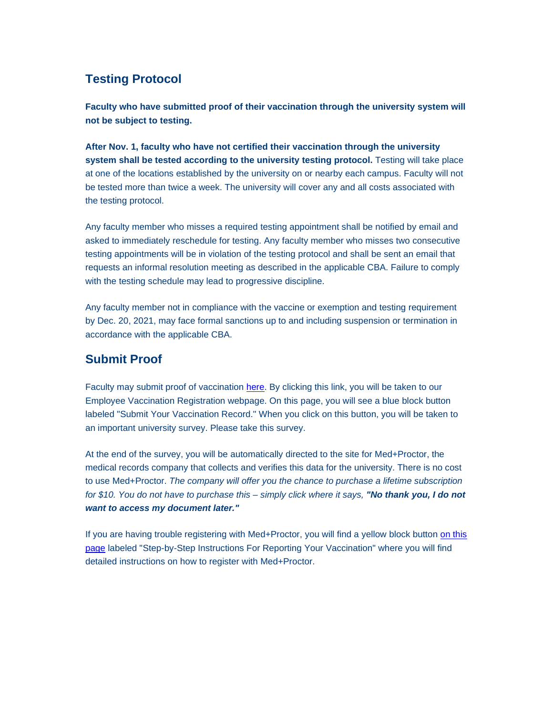# **Testing Protocol**

**Faculty who have submitted proof of their vaccination through the university system will not be subject to testing.**

**After Nov. 1, faculty who have not certified their vaccination through the university system shall be tested according to the university testing protocol.** Testing will take place at one of the locations established by the university on or nearby each campus. Faculty will not be tested more than twice a week. The university will cover any and all costs associated with the testing protocol.

Any faculty member who misses a required testing appointment shall be notified by email and asked to immediately reschedule for testing. Any faculty member who misses two consecutive testing appointments will be in violation of the testing protocol and shall be sent an email that requests an informal resolution meeting as described in the applicable CBA. Failure to comply with the testing schedule may lead to progressive discipline.

Any faculty member not in compliance with the vaccine or exemption and testing requirement by Dec. 20, 2021, may face formal sanctions up to and including suspension or termination in accordance with the applicable CBA.

### **Submit Proof**

Faculty may submit proof of vaccination [here.](https://nam11.safelinks.protection.outlook.com/?url=http%3A%2F%2Fclick.mailer.kent.edu%2F%3Fqs%3D19465cf41df31b3b95415dd1c57986650c7464957141e9ec854a77fa272bd8314e54755899c1518b4ed19d18a5dcd6633dbc88d944a79918&data=04%7C01%7Cdcsmith1%40kent.edu%7C0edc2d19bb4a43b68a4a08d98a618269%7Ce5a06f4a1ec44d018f73e7dd15f26134%7C1%7C0%7C637692973669023870%7CUnknown%7CTWFpbGZsb3d8eyJWIjoiMC4wLjAwMDAiLCJQIjoiV2luMzIiLCJBTiI6Ik1haWwiLCJXVCI6Mn0%3D%7C1000&sdata=Ue%2Fl5UxqVhJMk5mhwTL4aE5n5K1jqlT7BU0UJsPsoZs%3D&reserved=0) By clicking this link, you will be taken to our Employee Vaccination Registration webpage. On this page, you will see a blue block button labeled "Submit Your Vaccination Record." When you click on this button, you will be taken to an important university survey. Please take this survey.

At the end of the survey, you will be automatically directed to the site for Med+Proctor, the medical records company that collects and verifies this data for the university. There is no cost to use Med+Proctor. *The company will offer you the chance to purchase a lifetime subscription for \$10. You do not have to purchase this – simply click where it says, "No thank you, I do not want to access my document later."*

If you are having trouble registering with Med+Proctor, you will find a yellow block button [on this](https://nam11.safelinks.protection.outlook.com/?url=http%3A%2F%2Fclick.mailer.kent.edu%2F%3Fqs%3D19465cf41df31b3b95415dd1c57986650c7464957141e9ec854a77fa272bd8314e54755899c1518b4ed19d18a5dcd6633dbc88d944a79918&data=04%7C01%7Cdcsmith1%40kent.edu%7C0edc2d19bb4a43b68a4a08d98a618269%7Ce5a06f4a1ec44d018f73e7dd15f26134%7C1%7C0%7C637692973669033827%7CUnknown%7CTWFpbGZsb3d8eyJWIjoiMC4wLjAwMDAiLCJQIjoiV2luMzIiLCJBTiI6Ik1haWwiLCJXVCI6Mn0%3D%7C1000&sdata=xhuHaxOhA7izG0eUYf63EgDN6ouEYCNHfcpO4GzH2m0%3D&reserved=0)  [page](https://nam11.safelinks.protection.outlook.com/?url=http%3A%2F%2Fclick.mailer.kent.edu%2F%3Fqs%3D19465cf41df31b3b95415dd1c57986650c7464957141e9ec854a77fa272bd8314e54755899c1518b4ed19d18a5dcd6633dbc88d944a79918&data=04%7C01%7Cdcsmith1%40kent.edu%7C0edc2d19bb4a43b68a4a08d98a618269%7Ce5a06f4a1ec44d018f73e7dd15f26134%7C1%7C0%7C637692973669033827%7CUnknown%7CTWFpbGZsb3d8eyJWIjoiMC4wLjAwMDAiLCJQIjoiV2luMzIiLCJBTiI6Ik1haWwiLCJXVCI6Mn0%3D%7C1000&sdata=xhuHaxOhA7izG0eUYf63EgDN6ouEYCNHfcpO4GzH2m0%3D&reserved=0) labeled "Step-by-Step Instructions For Reporting Your Vaccination" where you will find detailed instructions on how to register with Med+Proctor.